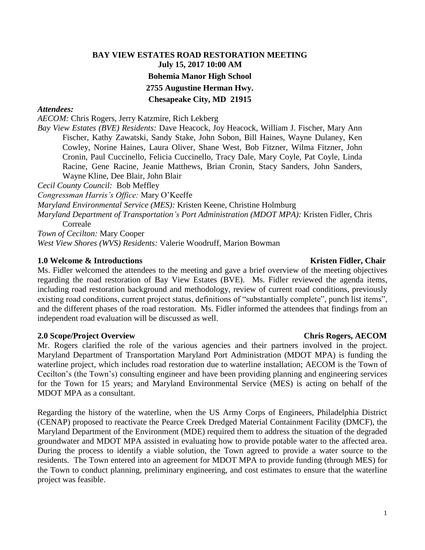# **BAY VIEW ESTATES ROAD RESTORATION MEETING July 15, 2017 10:00 AM Bohemia Manor High School 2755 Augustine Herman Hwy. Chesapeake City, MD 21915**

### *Attendees:*

*AECOM:* Chris Rogers, Jerry Katzmire, Rich Lekberg

*Bay View Estates (BVE) Residents:* Dave Heacock, Joy Heacock, William J. Fischer, Mary Ann Fischer, Kathy Zawatski, Sandy Stake, John Sobon, Bill Haines, Wayne Dulaney, Ken Cowley, Norine Haines, Laura Oliver, Shane West, Bob Fitzner, Wilma Fitzner, John Cronin, Paul Cuccinello, Felicia Cuccinello, Tracy Dale, Mary Coyle, Pat Coyle, Linda Racine, Gene Racine, Jeanie Matthews, Brian Cronin, Stacy Sanders, John Sanders, Wayne Kline, Dee Blair, John Blair

*Cecil County Council:* Bob Meffley

*Congressman Harris's Office:* Mary O'Keeffe

*Maryland Environmental Service (MES):* Kristen Keene, Christine Holmburg

*Maryland Department of Transportation's Port Administration (MDOT MPA):* Kristen Fidler, Chris Correale

*Town of Cecilton:* Mary Cooper *West View Shores (WVS) Residents:* Valerie Woodruff, Marion Bowman

### **1.0** Welcome & Introductions **Kristen Fidler, Chair Kristen Fidler, Chair Kristen Fidler**, Chair

Ms. Fidler welcomed the attendees to the meeting and gave a brief overview of the meeting objectives regarding the road restoration of Bay View Estates (BVE). Ms. Fidler reviewed the agenda items, including road restoration background and methodology, review of current road conditions, previously existing road conditions, current project status, definitions of "substantially complete", punch list items", and the different phases of the road restoration. Ms. Fidler informed the attendees that findings from an independent road evaluation will be discussed as well.

### **2.0 Scope/Project Overview Chris Rogers, AECOM**

Mr. Rogers clarified the role of the various agencies and their partners involved in the project. Maryland Department of Transportation Maryland Port Administration (MDOT MPA) is funding the waterline project, which includes road restoration due to waterline installation; AECOM is the Town of Cecilton's (the Town's) consulting engineer and have been providing planning and engineering services for the Town for 15 years; and Maryland Environmental Service (MES) is acting on behalf of the MDOT MPA as a consultant.

Regarding the history of the waterline, when the US Army Corps of Engineers, Philadelphia District (CENAP) proposed to reactivate the Pearce Creek Dredged Material Containment Facility (DMCF), the Maryland Department of the Environment (MDE) required them to address the situation of the degraded groundwater and MDOT MPA assisted in evaluating how to provide potable water to the affected area. During the process to identify a viable solution, the Town agreed to provide a water source to the residents. The Town entered into an agreement for MDOT MPA to provide funding (through MES) for the Town to conduct planning, preliminary engineering, and cost estimates to ensure that the waterline project was feasible.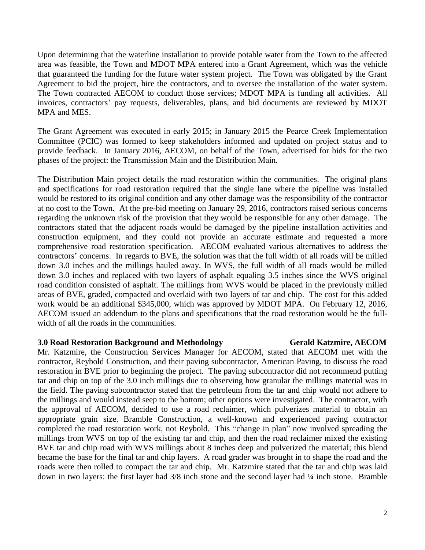Upon determining that the waterline installation to provide potable water from the Town to the affected area was feasible, the Town and MDOT MPA entered into a Grant Agreement, which was the vehicle that guaranteed the funding for the future water system project. The Town was obligated by the Grant Agreement to bid the project, hire the contractors, and to oversee the installation of the water system. The Town contracted AECOM to conduct those services; MDOT MPA is funding all activities. All invoices, contractors' pay requests, deliverables, plans, and bid documents are reviewed by MDOT MPA and MES.

The Grant Agreement was executed in early 2015; in January 2015 the Pearce Creek Implementation Committee (PCIC) was formed to keep stakeholders informed and updated on project status and to provide feedback. In January 2016, AECOM, on behalf of the Town, advertised for bids for the two phases of the project: the Transmission Main and the Distribution Main.

The Distribution Main project details the road restoration within the communities. The original plans and specifications for road restoration required that the single lane where the pipeline was installed would be restored to its original condition and any other damage was the responsibility of the contractor at no cost to the Town. At the pre-bid meeting on January 29, 2016, contractors raised serious concerns regarding the unknown risk of the provision that they would be responsible for any other damage. The contractors stated that the adjacent roads would be damaged by the pipeline installation activities and construction equipment, and they could not provide an accurate estimate and requested a more comprehensive road restoration specification. AECOM evaluated various alternatives to address the contractors' concerns. In regards to BVE, the solution was that the full width of all roads will be milled down 3.0 inches and the millings hauled away. In WVS, the full width of all roads would be milled down 3.0 inches and replaced with two layers of asphalt equaling 3.5 inches since the WVS original road condition consisted of asphalt. The millings from WVS would be placed in the previously milled areas of BVE, graded, compacted and overlaid with two layers of tar and chip. The cost for this added work would be an additional \$345,000, which was approved by MDOT MPA. On February 12, 2016, AECOM issued an addendum to the plans and specifications that the road restoration would be the fullwidth of all the roads in the communities.

### **3.0 Road Restoration Background and Methodology Gerald Katzmire, AECOM**

Mr. Katzmire, the Construction Services Manager for AECOM, stated that AECOM met with the contractor, Reybold Construction, and their paving subcontractor, American Paving, to discuss the road restoration in BVE prior to beginning the project. The paving subcontractor did not recommend putting tar and chip on top of the 3.0 inch millings due to observing how granular the millings material was in the field. The paving subcontractor stated that the petroleum from the tar and chip would not adhere to the millings and would instead seep to the bottom; other options were investigated. The contractor, with the approval of AECOM, decided to use a road reclaimer, which pulverizes material to obtain an appropriate grain size. Bramble Construction, a well-known and experienced paving contractor completed the road restoration work, not Reybold. This "change in plan" now involved spreading the millings from WVS on top of the existing tar and chip, and then the road reclaimer mixed the existing BVE tar and chip road with WVS millings about 8 inches deep and pulverized the material; this blend became the base for the final tar and chip layers. A road grader was brought in to shape the road and the roads were then rolled to compact the tar and chip. Mr. Katzmire stated that the tar and chip was laid down in two layers: the first layer had 3/8 inch stone and the second layer had ¼ inch stone. Bramble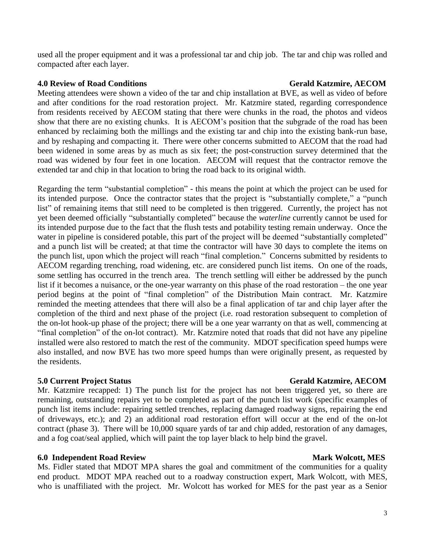used all the proper equipment and it was a professional tar and chip job. The tar and chip was rolled and compacted after each layer.

### **4.0** Review of Road Conditions **Gerald Katzmire, AECOM**

Meeting attendees were shown a video of the tar and chip installation at BVE, as well as video of before and after conditions for the road restoration project. Mr. Katzmire stated, regarding correspondence from residents received by AECOM stating that there were chunks in the road, the photos and videos show that there are no existing chunks. It is AECOM's position that the subgrade of the road has been enhanced by reclaiming both the millings and the existing tar and chip into the existing bank-run base, and by reshaping and compacting it. There were other concerns submitted to AECOM that the road had been widened in some areas by as much as six feet; the post-construction survey determined that the road was widened by four feet in one location. AECOM will request that the contractor remove the extended tar and chip in that location to bring the road back to its original width.

Regarding the term "substantial completion" - this means the point at which the project can be used for its intended purpose. Once the contractor states that the project is "substantially complete," a "punch list" of remaining items that still need to be completed is then triggered. Currently, the project has not yet been deemed officially "substantially completed" because the *waterline* currently cannot be used for its intended purpose due to the fact that the flush tests and potability testing remain underway. Once the water in pipeline is considered potable, this part of the project will be deemed "substantially completed" and a punch list will be created; at that time the contractor will have 30 days to complete the items on the punch list, upon which the project will reach "final completion." Concerns submitted by residents to AECOM regarding trenching, road widening, etc. are considered punch list items. On one of the roads, some settling has occurred in the trench area. The trench settling will either be addressed by the punch list if it becomes a nuisance, or the one-year warranty on this phase of the road restoration – the one year period begins at the point of "final completion" of the Distribution Main contract. Mr. Katzmire reminded the meeting attendees that there will also be a final application of tar and chip layer after the completion of the third and next phase of the project (i.e. road restoration subsequent to completion of the on-lot hook-up phase of the project; there will be a one year warranty on that as well, commencing at "final completion" of the on-lot contract). Mr. Katzmire noted that roads that did not have any pipeline installed were also restored to match the rest of the community. MDOT specification speed humps were also installed, and now BVE has two more speed humps than were originally present, as requested by the residents.

Mr. Katzmire recapped: 1) The punch list for the project has not been triggered yet, so there are remaining, outstanding repairs yet to be completed as part of the punch list work (specific examples of punch list items include: repairing settled trenches, replacing damaged roadway signs, repairing the end of driveways, etc.); and 2) an additional road restoration effort will occur at the end of the on-lot contract (phase 3). There will be 10,000 square yards of tar and chip added, restoration of any damages, and a fog coat/seal applied, which will paint the top layer black to help bind the gravel.

# **6.0** Independent Road Review Mark Wolcott, MES

Ms. Fidler stated that MDOT MPA shares the goal and commitment of the communities for a quality end product. MDOT MPA reached out to a roadway construction expert, Mark Wolcott, with MES, who is unaffiliated with the project. Mr. Wolcott has worked for MES for the past year as a Senior

# **5.0 Current Project Status Gerald Katzmire, AECOM**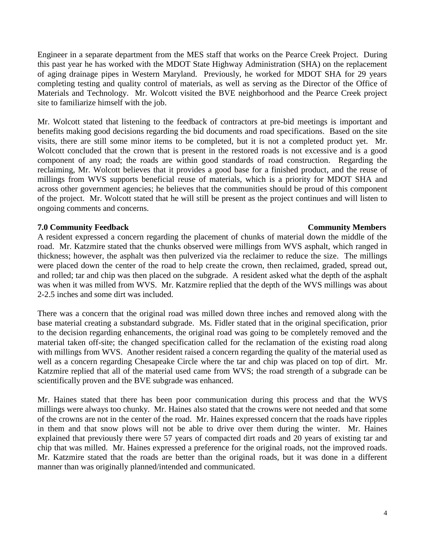Engineer in a separate department from the MES staff that works on the Pearce Creek Project. During this past year he has worked with the MDOT State Highway Administration (SHA) on the replacement of aging drainage pipes in Western Maryland. Previously, he worked for MDOT SHA for 29 years completing testing and quality control of materials, as well as serving as the Director of the Office of Materials and Technology. Mr. Wolcott visited the BVE neighborhood and the Pearce Creek project site to familiarize himself with the job.

Mr. Wolcott stated that listening to the feedback of contractors at pre-bid meetings is important and benefits making good decisions regarding the bid documents and road specifications. Based on the site visits, there are still some minor items to be completed, but it is not a completed product yet. Mr. Wolcott concluded that the crown that is present in the restored roads is not excessive and is a good component of any road; the roads are within good standards of road construction. Regarding the reclaiming, Mr. Wolcott believes that it provides a good base for a finished product, and the reuse of millings from WVS supports beneficial reuse of materials, which is a priority for MDOT SHA and across other government agencies; he believes that the communities should be proud of this component of the project. Mr. Wolcott stated that he will still be present as the project continues and will listen to ongoing comments and concerns.

## **7.0 Community Feedback Community Members**

A resident expressed a concern regarding the placement of chunks of material down the middle of the road. Mr. Katzmire stated that the chunks observed were millings from WVS asphalt, which ranged in thickness; however, the asphalt was then pulverized via the reclaimer to reduce the size. The millings were placed down the center of the road to help create the crown, then reclaimed, graded, spread out, and rolled; tar and chip was then placed on the subgrade. A resident asked what the depth of the asphalt was when it was milled from WVS. Mr. Katzmire replied that the depth of the WVS millings was about 2-2.5 inches and some dirt was included.

There was a concern that the original road was milled down three inches and removed along with the base material creating a substandard subgrade. Ms. Fidler stated that in the original specification, prior to the decision regarding enhancements, the original road was going to be completely removed and the material taken off-site; the changed specification called for the reclamation of the existing road along with millings from WVS. Another resident raised a concern regarding the quality of the material used as well as a concern regarding Chesapeake Circle where the tar and chip was placed on top of dirt. Mr. Katzmire replied that all of the material used came from WVS; the road strength of a subgrade can be scientifically proven and the BVE subgrade was enhanced.

Mr. Haines stated that there has been poor communication during this process and that the WVS millings were always too chunky. Mr. Haines also stated that the crowns were not needed and that some of the crowns are not in the center of the road. Mr. Haines expressed concern that the roads have ripples in them and that snow plows will not be able to drive over them during the winter. Mr. Haines explained that previously there were 57 years of compacted dirt roads and 20 years of existing tar and chip that was milled. Mr. Haines expressed a preference for the original roads, not the improved roads. Mr. Katzmire stated that the roads are better than the original roads, but it was done in a different manner than was originally planned/intended and communicated.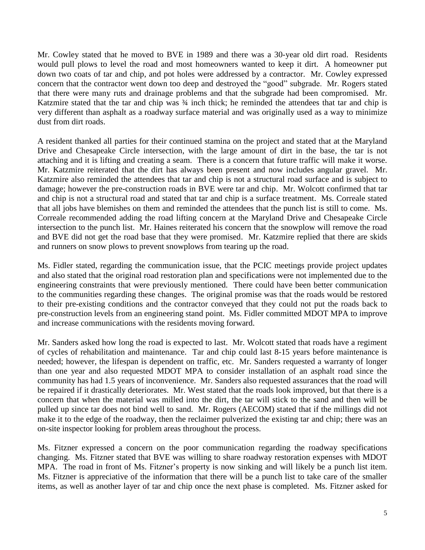Mr. Cowley stated that he moved to BVE in 1989 and there was a 30-year old dirt road. Residents would pull plows to level the road and most homeowners wanted to keep it dirt. A homeowner put down two coats of tar and chip, and pot holes were addressed by a contractor. Mr. Cowley expressed concern that the contractor went down too deep and destroyed the "good" subgrade. Mr. Rogers stated that there were many ruts and drainage problems and that the subgrade had been compromised. Mr. Katzmire stated that the tar and chip was  $\frac{3}{4}$  inch thick; he reminded the attendees that tar and chip is very different than asphalt as a roadway surface material and was originally used as a way to minimize dust from dirt roads.

A resident thanked all parties for their continued stamina on the project and stated that at the Maryland Drive and Chesapeake Circle intersection, with the large amount of dirt in the base, the tar is not attaching and it is lifting and creating a seam. There is a concern that future traffic will make it worse. Mr. Katzmire reiterated that the dirt has always been present and now includes angular gravel. Mr. Katzmire also reminded the attendees that tar and chip is not a structural road surface and is subject to damage; however the pre-construction roads in BVE were tar and chip. Mr. Wolcott confirmed that tar and chip is not a structural road and stated that tar and chip is a surface treatment. Ms. Correale stated that all jobs have blemishes on them and reminded the attendees that the punch list is still to come. Ms. Correale recommended adding the road lifting concern at the Maryland Drive and Chesapeake Circle intersection to the punch list. Mr. Haines reiterated his concern that the snowplow will remove the road and BVE did not get the road base that they were promised. Mr. Katzmire replied that there are skids and runners on snow plows to prevent snowplows from tearing up the road.

Ms. Fidler stated, regarding the communication issue, that the PCIC meetings provide project updates and also stated that the original road restoration plan and specifications were not implemented due to the engineering constraints that were previously mentioned. There could have been better communication to the communities regarding these changes. The original promise was that the roads would be restored to their pre-existing conditions and the contractor conveyed that they could not put the roads back to pre-construction levels from an engineering stand point. Ms. Fidler committed MDOT MPA to improve and increase communications with the residents moving forward.

Mr. Sanders asked how long the road is expected to last. Mr. Wolcott stated that roads have a regiment of cycles of rehabilitation and maintenance. Tar and chip could last 8-15 years before maintenance is needed; however, the lifespan is dependent on traffic, etc. Mr. Sanders requested a warranty of longer than one year and also requested MDOT MPA to consider installation of an asphalt road since the community has had 1.5 years of inconvenience. Mr. Sanders also requested assurances that the road will be repaired if it drastically deteriorates. Mr. West stated that the roads look improved, but that there is a concern that when the material was milled into the dirt, the tar will stick to the sand and then will be pulled up since tar does not bind well to sand. Mr. Rogers (AECOM) stated that if the millings did not make it to the edge of the roadway, then the reclaimer pulverized the existing tar and chip; there was an on-site inspector looking for problem areas throughout the process.

Ms. Fitzner expressed a concern on the poor communication regarding the roadway specifications changing. Ms. Fitzner stated that BVE was willing to share roadway restoration expenses with MDOT MPA. The road in front of Ms. Fitzner's property is now sinking and will likely be a punch list item. Ms. Fitzner is appreciative of the information that there will be a punch list to take care of the smaller items, as well as another layer of tar and chip once the next phase is completed. Ms. Fitzner asked for